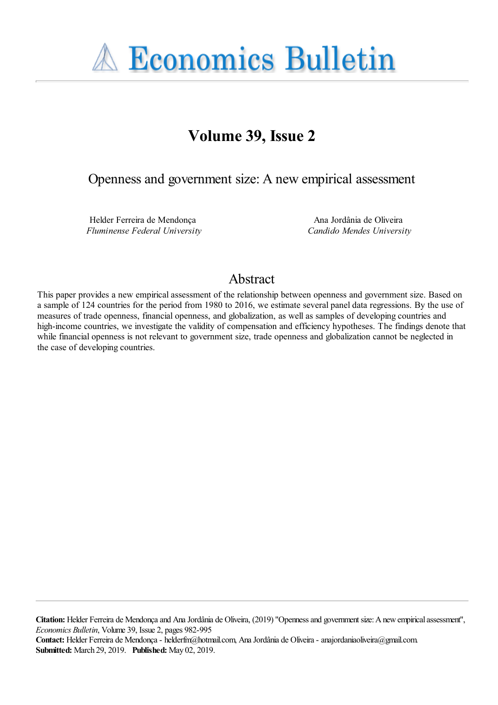

# **Volume 39, Issue 2**

Openness and government size: A new empirical assessment

Helder Ferreira de Mendonça *Fluminense Federal University*

Ana Jordânia de Oliveira *Candido Mendes University*

## Abstract

This paper provides a new empirical assessment of the relationship between openness and government size. Based on a sample of 124 countries for the period from 1980 to 2016, we estimate several panel data regressions. By the use of measures of trade openness, financial openness, and globalization, as well as samples of developing countries and high-income countries, we investigate the validity of compensation and efficiency hypotheses. The findings denote that while financial openness is not relevant to government size, trade openness and globalization cannot be neglected in the case of developing countries.

**Citation:** Helder Ferreira de Mendonça and Ana Jordânia de Oliveira, (2019) ''Openness and government size: A new empirical assessment'', *Economics Bulletin*, Volume 39, Issue 2, pages 982-995

**Contact:** Helder Ferreira de Mendonça - helderfm@hotmail.com, Ana Jordânia de Oliveira - anajordaniaoliveira@gmail.com. **Submitted:** March 29, 2019. **Published:** May 02, 2019.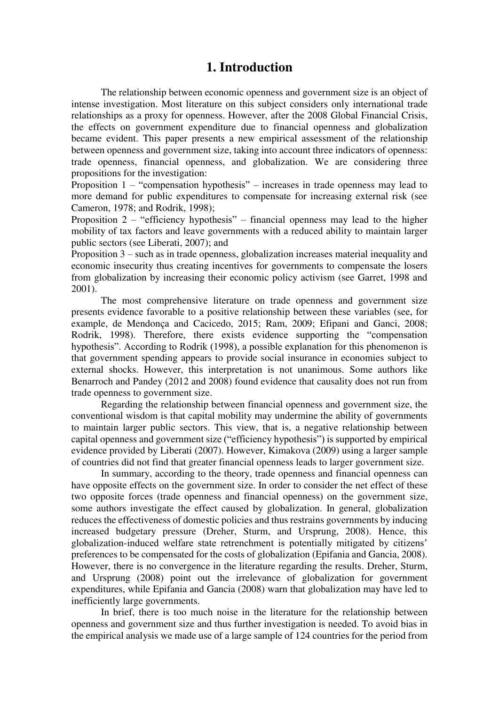## **1. Introduction**

 The relationship between economic openness and government size is an object of intense investigation. Most literature on this subject considers only international trade relationships as a proxy for openness. However, after the 2008 Global Financial Crisis, the effects on government expenditure due to financial openness and globalization became evident. This paper presents a new empirical assessment of the relationship between openness and government size, taking into account three indicators of openness: trade openness, financial openness, and globalization. We are considering three propositions for the investigation:

Proposition 1 – "compensation hypothesis" – increases in trade openness may lead to more demand for public expenditures to compensate for increasing external risk (see Cameron, 1978; and Rodrik, 1998);

Proposition 2 – "efficiency hypothesis" – financial openness may lead to the higher mobility of tax factors and leave governments with a reduced ability to maintain larger public sectors (see Liberati, 2007); and

Proposition 3 – such as in trade openness, globalization increases material inequality and economic insecurity thus creating incentives for governments to compensate the losers from globalization by increasing their economic policy activism (see Garret, 1998 and 2001).

 The most comprehensive literature on trade openness and government size presents evidence favorable to a positive relationship between these variables (see, for example, de Mendonça and Cacicedo, 2015; Ram, 2009; Efipani and Ganci, 2008; Rodrik, 1998). Therefore, there exists evidence supporting the "compensation hypothesis". According to Rodrik (1998), a possible explanation for this phenomenon is that government spending appears to provide social insurance in economies subject to external shocks. However, this interpretation is not unanimous. Some authors like Benarroch and Pandey (2012 and 2008) found evidence that causality does not run from trade openness to government size.

 Regarding the relationship between financial openness and government size, the conventional wisdom is that capital mobility may undermine the ability of governments to maintain larger public sectors. This view, that is, a negative relationship between capital openness and government size ("efficiency hypothesis") is supported by empirical evidence provided by Liberati (2007). However, Kimakova (2009) using a larger sample of countries did not find that greater financial openness leads to larger government size.

In summary, according to the theory, trade openness and financial openness can have opposite effects on the government size. In order to consider the net effect of these two opposite forces (trade openness and financial openness) on the government size, some authors investigate the effect caused by globalization. In general, globalization reduces the effectiveness of domestic policies and thus restrains governments by inducing increased budgetary pressure (Dreher, Sturm, and Ursprung, 2008). Hence, this globalization-induced welfare state retrenchment is potentially mitigated by citizens' preferences to be compensated for the costs of globalization (Epifania and Gancia, 2008). However, there is no convergence in the literature regarding the results. Dreher, Sturm, and Ursprung (2008) point out the irrelevance of globalization for government expenditures, while Epifania and Gancia (2008) warn that globalization may have led to inefficiently large governments.

 In brief, there is too much noise in the literature for the relationship between openness and government size and thus further investigation is needed. To avoid bias in the empirical analysis we made use of a large sample of 124 countries for the period from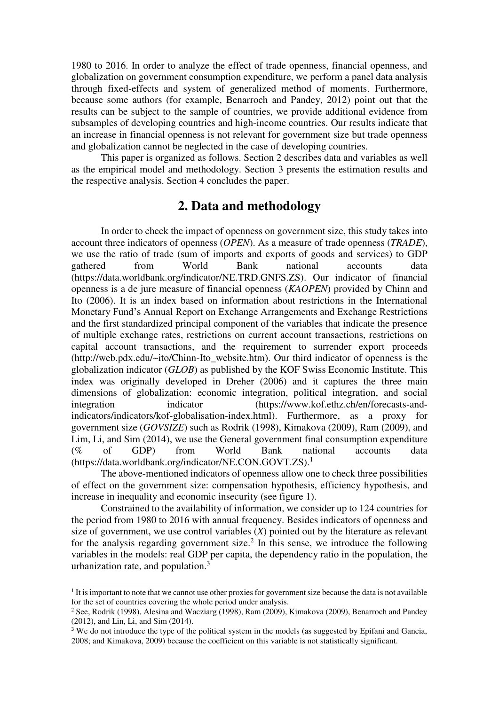1980 to 2016. In order to analyze the effect of trade openness, financial openness, and globalization on government consumption expenditure, we perform a panel data analysis through fixed-effects and system of generalized method of moments. Furthermore, because some authors (for example, Benarroch and Pandey, 2012) point out that the results can be subject to the sample of countries, we provide additional evidence from subsamples of developing countries and high-income countries. Our results indicate that an increase in financial openness is not relevant for government size but trade openness and globalization cannot be neglected in the case of developing countries.

 This paper is organized as follows. Section 2 describes data and variables as well as the empirical model and methodology. Section 3 presents the estimation results and the respective analysis. Section 4 concludes the paper.

## **2. Data and methodology**

In order to check the impact of openness on government size, this study takes into account three indicators of openness (*OPEN*). As a measure of trade openness (*TRADE*), we use the ratio of trade (sum of imports and exports of goods and services) to GDP gathered from World Bank national accounts data (https://data.worldbank.org/indicator/NE.TRD.GNFS.ZS). Our indicator of financial openness is a de jure measure of financial openness (*KAOPEN*) provided by Chinn and Ito (2006). It is an index based on information about restrictions in the International Monetary Fund's Annual Report on Exchange Arrangements and Exchange Restrictions and the first standardized principal component of the variables that indicate the presence of multiple exchange rates, restrictions on current account transactions, restrictions on capital account transactions, and the requirement to surrender export proceeds (http://web.pdx.edu/~ito/Chinn-Ito\_website.htm). Our third indicator of openness is the globalization indicator (*GLOB*) as published by the KOF Swiss Economic Institute. This index was originally developed in Dreher (2006) and it captures the three main dimensions of globalization: economic integration, political integration, and social integration indicator (https://www.kof.ethz.ch/en/forecasts-andindicators/indicators/kof-globalisation-index.html). Furthermore, as a proxy for government size (*GOVSIZE*) such as Rodrik (1998), Kimakova (2009), Ram (2009), and Lim, Li, and Sim (2014), we use the General government final consumption expenditure (% of GDP) from World Bank national accounts data (https://data.worldbank.org/indicator/NE.CON.GOVT.ZS).<sup>1</sup>

The above-mentioned indicators of openness allow one to check three possibilities of effect on the government size: compensation hypothesis, efficiency hypothesis, and increase in inequality and economic insecurity (see figure 1).

Constrained to the availability of information, we consider up to 124 countries for the period from 1980 to 2016 with annual frequency. Besides indicators of openness and size of government, we use control variables (*X*) pointed out by the literature as relevant for the analysis regarding government size.<sup>2</sup> In this sense, we introduce the following variables in the models: real GDP per capita, the dependency ratio in the population, the urbanization rate, and population. $3$ 

 $\overline{a}$ 

<sup>&</sup>lt;sup>1</sup> It is important to note that we cannot use other proxies for government size because the data is not available for the set of countries covering the whole period under analysis.

<sup>&</sup>lt;sup>2</sup> See, Rodrik (1998), Alesina and Wacziarg (1998), Ram (2009), Kimakova (2009), Benarroch and Pandey (2012), and Lin, Li, and Sim (2014).

<sup>&</sup>lt;sup>3</sup> We do not introduce the type of the political system in the models (as suggested by Epifani and Gancia, 2008; and Kimakova, 2009) because the coefficient on this variable is not statistically significant.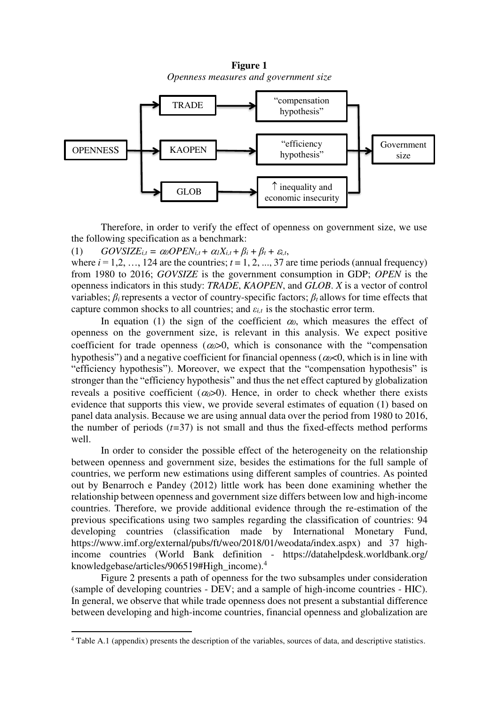**Figure 1**  *Openness measures and government size*



Therefore, in order to verify the effect of openness on government size, we use the following specification as a benchmark:

(1)  $GOVSIZE_{i,t} = \alpha_0 OPEN_{i,t} + \alpha_1 X_{i,t} + \beta_i + \beta_t + \varepsilon_{i,t}$ 

where  $i = 1, 2, ..., 124$  are the countries;  $t = 1, 2, ..., 37$  are time periods (annual frequency) from 1980 to 2016; *GOVSIZE* is the government consumption in GDP; *OPEN* is the openness indicators in this study: *TRADE*, *KAOPEN*, and *GLOB*. *X* is a vector of control variables;  $\beta_i$  represents a vector of country-specific factors;  $\beta_i$  allows for time effects that capture common shocks to all countries; and  $\varepsilon_{i,t}$  is the stochastic error term.

In equation (1) the sign of the coefficient  $\alpha_0$ , which measures the effect of openness on the government size, is relevant in this analysis. We expect positive coefficient for trade openness  $(a_0>0$ , which is consonance with the "compensation" hypothesis") and a negative coefficient for financial openness ( $\alpha$   $\alpha$   $\leq$  0, which is in line with "efficiency hypothesis"). Moreover, we expect that the "compensation hypothesis" is stronger than the "efficiency hypothesis" and thus the net effect captured by globalization reveals a positive coefficient  $(a_0>0)$ . Hence, in order to check whether there exists evidence that supports this view, we provide several estimates of equation (1) based on panel data analysis. Because we are using annual data over the period from 1980 to 2016, the number of periods (*t=*37) is not small and thus the fixed-effects method performs well.

In order to consider the possible effect of the heterogeneity on the relationship between openness and government size, besides the estimations for the full sample of countries, we perform new estimations using different samples of countries. As pointed out by Benarroch e Pandey (2012) little work has been done examining whether the relationship between openness and government size differs between low and high-income countries. Therefore, we provide additional evidence through the re-estimation of the previous specifications using two samples regarding the classification of countries: 94 developing countries (classification made by International Monetary Fund, https://www.imf.org/external/pubs/ft/weo/2018/01/weodata/index.aspx) and 37 highincome countries (World Bank definition - <https://datahelpdesk.worldbank.org/> knowledgebase/articles/906519#High\_income).<sup>4</sup>

Figure 2 presents a path of openness for the two subsamples under consideration (sample of developing countries - DEV; and a sample of high-income countries - HIC). In general, we observe that while trade openness does not present a substantial difference between developing and high-income countries, financial openness and globalization are

 $\overline{a}$ 

<sup>&</sup>lt;sup>4</sup> Table A.1 (appendix) presents the description of the variables, sources of data, and descriptive statistics.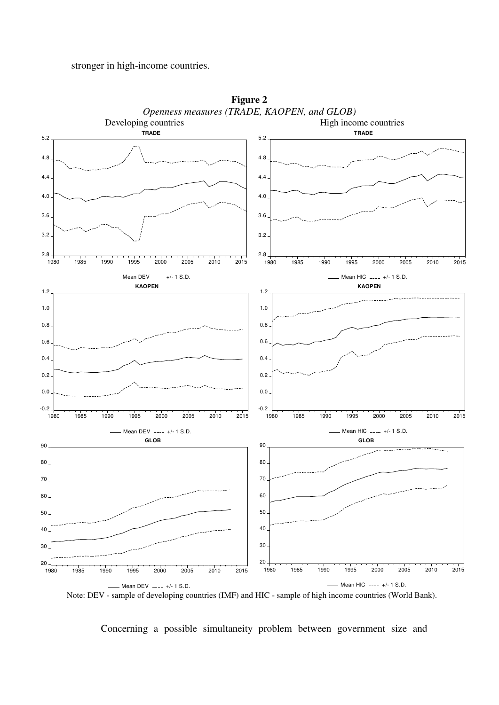#### stronger in high-income countries.



**Figure 2**  *Openness measures (TRADE, KAOPEN, and GLOB)* 

Note: DEV - sample of developing countries (IMF) and HIC - sample of high income countries (World Bank).

Concerning a possible simultaneity problem between government size and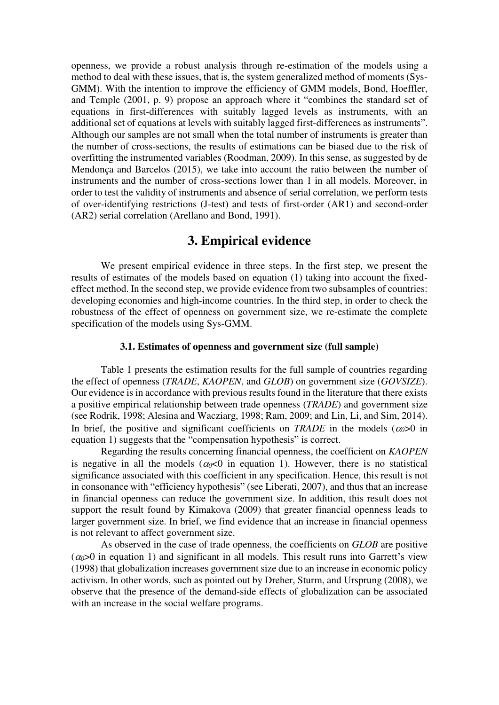openness, we provide a robust analysis through re-estimation of the models using a method to deal with these issues, that is, the system generalized method of moments (Sys-GMM). With the intention to improve the efficiency of GMM models, Bond, Hoeffler, and Temple (2001, p. 9) propose an approach where it "combines the standard set of equations in first-differences with suitably lagged levels as instruments, with an additional set of equations at levels with suitably lagged first-differences as instruments". Although our samples are not small when the total number of instruments is greater than the number of cross-sections, the results of estimations can be biased due to the risk of overfitting the instrumented variables (Roodman, 2009). In this sense, as suggested by de Mendonça and Barcelos (2015), we take into account the ratio between the number of instruments and the number of cross-sections lower than 1 in all models. Moreover, in order to test the validity of instruments and absence of serial correlation, we perform tests of over-identifying restrictions (J-test) and tests of first-order (AR1) and second-order (AR2) serial correlation (Arellano and Bond, 1991).

## **3. Empirical evidence**

We present empirical evidence in three steps. In the first step, we present the results of estimates of the models based on equation (1) taking into account the fixedeffect method. In the second step, we provide evidence from two subsamples of countries: developing economies and high-income countries. In the third step, in order to check the robustness of the effect of openness on government size, we re-estimate the complete specification of the models using Sys-GMM.

#### **3.1. Estimates of openness and government size (full sample)**

Table 1 presents the estimation results for the full sample of countries regarding the effect of openness (*TRADE*, *KAOPEN*, and *GLOB*) on government size (*GOVSIZE*). Our evidence is in accordance with previous results found in the literature that there exists a positive empirical relationship between trade openness (*TRADE*) and government size (see Rodrik, 1998; Alesina and Wacziarg, 1998; Ram, 2009; and Lin, Li, and Sim, 2014). In brief, the positive and significant coefficients on *TRADE* in the models  $(\alpha_0>0$  in equation 1) suggests that the "compensation hypothesis" is correct.

Regarding the results concerning financial openness, the coefficient on *KAOPEN* is negative in all the models  $(\alpha_0 < 0$  in equation 1). However, there is no statistical significance associated with this coefficient in any specification. Hence, this result is not in consonance with "efficiency hypothesis" (see Liberati, 2007), and thus that an increase in financial openness can reduce the government size. In addition, this result does not support the result found by Kimakova (2009) that greater financial openness leads to larger government size. In brief, we find evidence that an increase in financial openness is not relevant to affect government size.

As observed in the case of trade openness, the coefficients on *GLOB* are positive  $(\alpha \geq 0)$  in equation 1) and significant in all models. This result runs into Garrett's view (1998) that globalization increases government size due to an increase in economic policy activism. In other words, such as pointed out by Dreher, Sturm, and Ursprung (2008), we observe that the presence of the demand-side effects of globalization can be associated with an increase in the social welfare programs.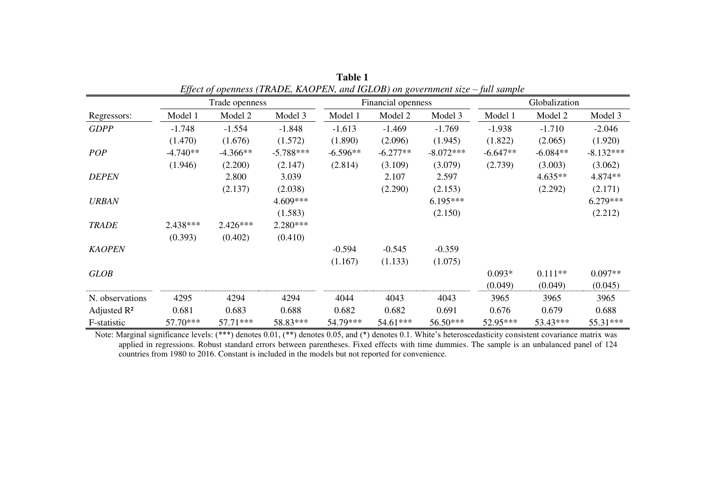|                         | Effect of openness (TRADE, RAOT EIV, and IGEOD) on government size – fun sample |                |             |            |                    |             |               |            |             |  |  |  |  |  |
|-------------------------|---------------------------------------------------------------------------------|----------------|-------------|------------|--------------------|-------------|---------------|------------|-------------|--|--|--|--|--|
|                         |                                                                                 | Trade openness |             |            | Financial openness |             | Globalization |            |             |  |  |  |  |  |
| Regressors:             | Model 1                                                                         | Model 2        | Model 3     | Model 1    | Model 2            | Model 3     | Model 1       | Model 2    | Model 3     |  |  |  |  |  |
| <b>GDPP</b>             | $-1.748$                                                                        | $-1.554$       | $-1.848$    | $-1.613$   | $-1.469$           | $-1.769$    | $-1.938$      | $-1.710$   | $-2.046$    |  |  |  |  |  |
|                         | (1.470)                                                                         | (1.676)        | (1.572)     | (1.890)    | (2.096)            | (1.945)     | (1.822)       | (2.065)    | (1.920)     |  |  |  |  |  |
| <b>POP</b>              | $-4.740**$                                                                      | $-4.366**$     | $-5.788***$ | $-6.596**$ | $-6.277**$         | $-8.072***$ | $-6.647**$    | $-6.084**$ | $-8.132***$ |  |  |  |  |  |
|                         | (1.946)                                                                         | (2.200)        | (2.147)     | (2.814)    | (3.109)            | (3.079)     | (2.739)       | (3.003)    | (3.062)     |  |  |  |  |  |
| <b>DEPEN</b>            |                                                                                 | 2.800          | 3.039       |            | 2.107              | 2.597       |               | $4.635**$  | 4.874**     |  |  |  |  |  |
|                         |                                                                                 | (2.137)        | (2.038)     |            | (2.290)            | (2.153)     |               | (2.292)    | (2.171)     |  |  |  |  |  |
| <b>URBAN</b>            |                                                                                 |                | 4.609***    |            |                    | $6.195***$  |               |            | $6.279***$  |  |  |  |  |  |
|                         |                                                                                 |                | (1.583)     |            |                    | (2.150)     |               |            | (2.212)     |  |  |  |  |  |
| <b>TRADE</b>            | 2.438***                                                                        | $2.426***$     | $2.280***$  |            |                    |             |               |            |             |  |  |  |  |  |
|                         | (0.393)                                                                         | (0.402)        | (0.410)     |            |                    |             |               |            |             |  |  |  |  |  |
| <b>KAOPEN</b>           |                                                                                 |                |             | $-0.594$   | $-0.545$           | $-0.359$    |               |            |             |  |  |  |  |  |
|                         |                                                                                 |                |             | (1.167)    | (1.133)            | (1.075)     |               |            |             |  |  |  |  |  |
| <b>GLOB</b>             |                                                                                 |                |             |            |                    |             | $0.093*$      | $0.111**$  | $0.097**$   |  |  |  |  |  |
|                         |                                                                                 |                |             |            |                    |             | (0.049)       | (0.049)    | (0.045)     |  |  |  |  |  |
| N. observations         | 4295                                                                            | 4294           | 4294        | 4044       | 4043               | 4043        | 3965          | 3965       | 3965        |  |  |  |  |  |
| Adjusted $\mathbb{R}^2$ | 0.681                                                                           | 0.683          | 0.688       | 0.682      | 0.682              | 0.691       | 0.676         | 0.679      | 0.688       |  |  |  |  |  |
| F-statistic             | 57.70***                                                                        | 57.71***       | 58.83***    | 54.79***   | 54.61***           | 56.50***    | 52.95***      | 53.43***   | 55.31***    |  |  |  |  |  |

| <b>Table 1</b>                                                                 |  |
|--------------------------------------------------------------------------------|--|
| Effect of openness (TRADE, KAOPEN, and IGLOB) on government size – full sample |  |

Note: Marginal significance levels: (\*\*\*) denotes 0.01, (\*\*) denotes 0.05, and (\*) denotes 0.1. White's heteroscedasticity consistent covariance matrix was applied in regressions. Robust standard errors between parentheses. Fixed effects with time dummies. The sample is an unbalanced panel of 124 countries from 1980 to 2016. Constant is included in the models but not reported for convenience.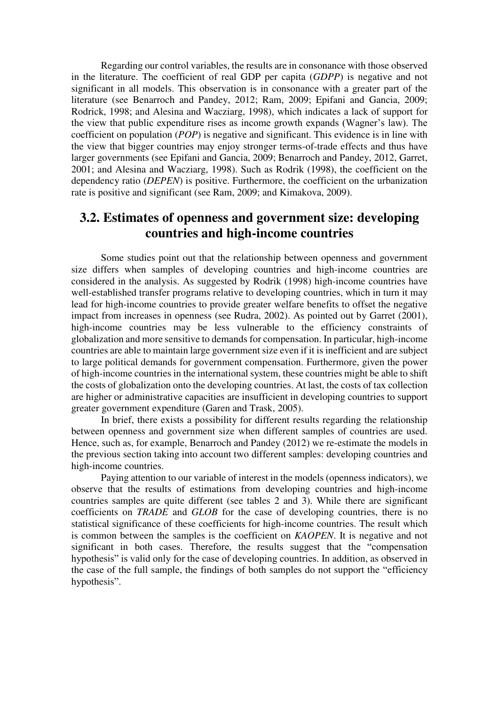Regarding our control variables, the results are in consonance with those observed in the literature. The coefficient of real GDP per capita (*GDPP*) is negative and not significant in all models. This observation is in consonance with a greater part of the literature (see Benarroch and Pandey, 2012; Ram, 2009; Epifani and Gancia, 2009; Rodrick, 1998; and Alesina and Wacziarg, 1998), which indicates a lack of support for the view that public expenditure rises as income growth expands (Wagner's law). The coefficient on population (*POP*) is negative and significant. This evidence is in line with the view that bigger countries may enjoy stronger terms-of-trade effects and thus have larger governments (see Epifani and Gancia, 2009; Benarroch and Pandey, 2012, Garret, 2001; and Alesina and Wacziarg, 1998). Such as Rodrik (1998), the coefficient on the dependency ratio (*DEPEN*) is positive. Furthermore, the coefficient on the urbanization rate is positive and significant (see Ram, 2009; and Kimakova, 2009).

## **3.2. Estimates of openness and government size: developing countries and high-income countries**

Some studies point out that the relationship between openness and government size differs when samples of developing countries and high-income countries are considered in the analysis. As suggested by Rodrik (1998) high-income countries have well-established transfer programs relative to developing countries, which in turn it may lead for high-income countries to provide greater welfare benefits to offset the negative impact from increases in openness (see Rudra, 2002). As pointed out by Garret (2001), high-income countries may be less vulnerable to the efficiency constraints of globalization and more sensitive to demands for compensation. In particular, high-income countries are able to maintain large government size even if it is inefficient and are subject to large political demands for government compensation. Furthermore, given the power of high-income countries in the international system, these countries might be able to shift the costs of globalization onto the developing countries. At last, the costs of tax collection are higher or administrative capacities are insufficient in developing countries to support greater government expenditure (Garen and Trask, 2005).

In brief, there exists a possibility for different results regarding the relationship between openness and government size when different samples of countries are used. Hence, such as, for example, Benarroch and Pandey (2012) we re-estimate the models in the previous section taking into account two different samples: developing countries and high-income countries.

Paying attention to our variable of interest in the models (openness indicators), we observe that the results of estimations from developing countries and high-income countries samples are quite different (see tables 2 and 3). While there are significant coefficients on *TRADE* and *GLOB* for the case of developing countries, there is no statistical significance of these coefficients for high-income countries. The result which is common between the samples is the coefficient on *KAOPEN*. It is negative and not significant in both cases. Therefore, the results suggest that the "compensation hypothesis" is valid only for the case of developing countries. In addition, as observed in the case of the full sample, the findings of both samples do not support the "efficiency hypothesis".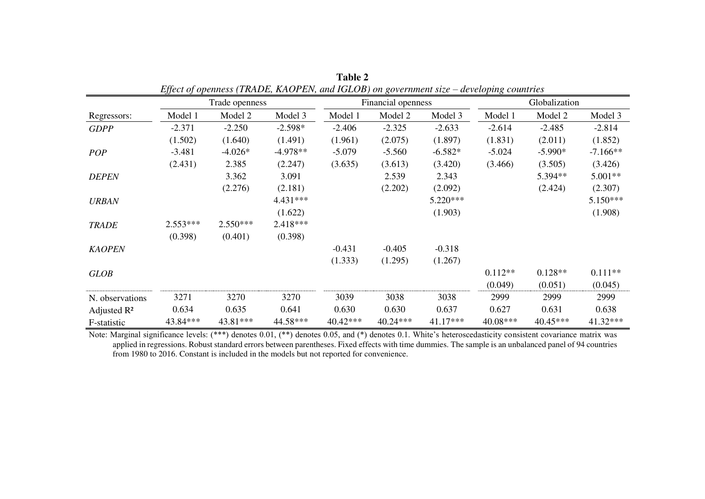|                         |            | Trade openness | едјестој оренисво (110.1112), татот Елу, ана тошото јон котепнисни виде |          | Financial openness |            | acroping commission | Globalization |            |
|-------------------------|------------|----------------|-------------------------------------------------------------------------|----------|--------------------|------------|---------------------|---------------|------------|
| Regressors:             | Model 1    | Model 2        | Model 3                                                                 | Model 1  | Model 2            | Model 3    | Model 1             | Model 2       | Model 3    |
| <b>GDPP</b>             | $-2.371$   | $-2.250$       | $-2.598*$                                                               | $-2.406$ | $-2.325$           | $-2.633$   | $-2.614$            | $-2.485$      | $-2.814$   |
|                         | (1.502)    | (1.640)        | (1.491)                                                                 | (1.961)  | (2.075)            | (1.897)    | (1.831)             | (2.011)       | (1.852)    |
| <b>POP</b>              | $-3.481$   | $-4.026*$      | $-4.978**$                                                              | $-5.079$ | $-5.560$           | $-6.582*$  | $-5.024$            | $-5.990*$     | $-7.166**$ |
|                         | (2.431)    | 2.385          | (2.247)                                                                 | (3.635)  | (3.613)            | (3.420)    | (3.466)             | (3.505)       | (3.426)    |
| <b>DEPEN</b>            |            | 3.362          | 3.091                                                                   |          | 2.539              | 2.343      |                     | 5.394**       | 5.001**    |
|                         |            | (2.276)        | (2.181)                                                                 |          | (2.202)            | (2.092)    |                     | (2.424)       | (2.307)    |
| <b>URBAN</b>            |            |                | 4.431 ***                                                               |          |                    | 5.220***   |                     |               | 5.150***   |
|                         |            |                | (1.622)                                                                 |          |                    | (1.903)    |                     |               | (1.908)    |
| <b>TRADE</b>            | $2.553***$ | 2.550***       | 2.418***                                                                |          |                    |            |                     |               |            |
|                         | (0.398)    | (0.401)        | (0.398)                                                                 |          |                    |            |                     |               |            |
| <b>KAOPEN</b>           |            |                |                                                                         | $-0.431$ | $-0.405$           | $-0.318$   |                     |               |            |
|                         |            |                |                                                                         | (1.333)  | (1.295)            | (1.267)    |                     |               |            |
| <b>GLOB</b>             |            |                |                                                                         |          |                    |            | $0.112**$           | $0.128**$     | $0.111**$  |
|                         |            |                |                                                                         |          |                    |            | (0.049)             | (0.051)       | (0.045)    |
| N. observations         | 3271       | 3270           | 3270                                                                    | 3039     | 3038               | 3038       | 2999                | 2999          | 2999       |
| Adjusted $\mathbb{R}^2$ | 0.634      | 0.635          | 0.641                                                                   | 0.630    | 0.630              | 0.637      | 0.627               | 0.631         | 0.638      |
| F-statistic             | 43.84***   | 43.81***       | 44.58***                                                                | 40.42*** | 40.24***           | $41.17***$ | $40.08***$          | $40.45***$    | 41.32***   |

**Table 2**  *Effect of openness (TRADE, KAOPEN, and IGLOB) on government size – developing countries* 

Note: Marginal significance levels: (\*\*\*) denotes 0.01, (\*\*) denotes 0.05, and (\*) denotes 0.1. White's heteroscedasticity consistent covariance matrix was applied in regressions. Robust standard errors between parentheses. Fixed effects with time dummies. The sample is an unbalanced panel of 94 countries from 1980 to 2016. Constant is included in the models but not reported for convenience.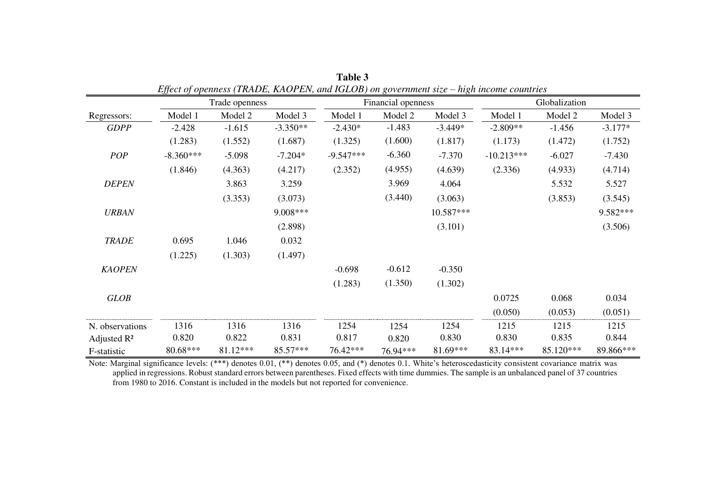|                 | $-1$        | Trade openness |            |             | Financial openness |           | Globalization |           |           |  |  |  |
|-----------------|-------------|----------------|------------|-------------|--------------------|-----------|---------------|-----------|-----------|--|--|--|
| Regressors:     | Model 1     | Model 2        | Model 3    | Model 1     | Model 2            | Model 3   | Model 1       | Model 2   | Model 3   |  |  |  |
| <b>GDPP</b>     | $-2.428$    | $-1.615$       | $-3.350**$ | $-2.430*$   | $-1.483$           | $-3.449*$ | $-2.809**$    | $-1.456$  | $-3.177*$ |  |  |  |
|                 | (1.283)     | (1.552)        | (1.687)    | (1.325)     | (1.600)            | (1.817)   | (1.173)       | (1.472)   | (1.752)   |  |  |  |
| POP             | $-8.360***$ | $-5.098$       | $-7.204*$  | $-9.547***$ | $-6.360$           | $-7.370$  | $-10.213***$  | $-6.027$  | $-7.430$  |  |  |  |
|                 | (1.846)     | (4.363)        | (4.217)    | (2.352)     | (4.955)            | (4.639)   | (2.336)       | (4.933)   | (4.714)   |  |  |  |
| <b>DEPEN</b>    |             | 3.863          | 3.259      |             | 3.969              | 4.064     |               | 5.532     | 5.527     |  |  |  |
|                 |             | (3.353)        | (3.073)    |             | (3.440)<br>(3.063) |           |               | (3.853)   | (3.545)   |  |  |  |
| <b>URBAN</b>    |             |                | $9.008***$ |             |                    | 10.587*** |               |           | 9.582***  |  |  |  |
|                 |             |                | (2.898)    |             |                    | (3.101)   |               |           | (3.506)   |  |  |  |
| <b>TRADE</b>    | 0.695       | 1.046          | 0.032      |             |                    |           |               |           |           |  |  |  |
|                 | (1.225)     | (1.303)        | (1.497)    |             |                    |           |               |           |           |  |  |  |
| <b>KAOPEN</b>   |             |                |            | $-0.698$    | $-0.612$           | $-0.350$  |               |           |           |  |  |  |
|                 |             |                |            | (1.283)     | (1.350)            | (1.302)   |               |           |           |  |  |  |
| GLOB            |             |                |            |             |                    |           | 0.0725        | 0.068     | 0.034     |  |  |  |
|                 |             |                |            |             |                    |           | (0.050)       | (0.053)   | (0.051)   |  |  |  |
| N. observations | 1316        | 1316           | 1316       | 1254        | 1254               | 1254      | 1215          | 1215      | 1215      |  |  |  |
| Adjusted $R^2$  | 0.820       | 0.822          | 0.831      | 0.817       | 0.820              | 0.830     | 0.830         | 0.835     | 0.844     |  |  |  |
| F-statistic     | 80.68***    | 81.12***       | 85.57***   | 76.42***    | 76.94***           | 81.69***  | 83.14***      | 85.120*** | 89.866*** |  |  |  |

**Table 3**  *Effect of openness (TRADE, KAOPEN, and IGLOB) on government size – high income countries* 

Note: Marginal significance levels: (\*\*\*) denotes 0.01, (\*\*) denotes 0.05, and (\*) denotes 0.1. White's heteroscedasticity consistent covariance matrix was applied in regressions. Robust standard errors between parentheses. Fixed effects with time dummies. The sample is an unbalanced panel of 37 countries from 1980 to 2016. Constant is included in the models but not reported for convenience.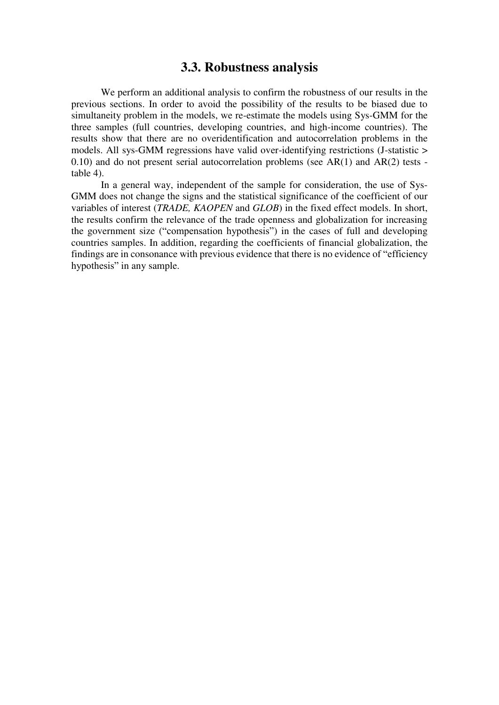## **3.3. Robustness analysis**

We perform an additional analysis to confirm the robustness of our results in the previous sections. In order to avoid the possibility of the results to be biased due to simultaneity problem in the models, we re-estimate the models using Sys-GMM for the three samples (full countries, developing countries, and high-income countries). The results show that there are no overidentification and autocorrelation problems in the models. All sys-GMM regressions have valid over-identifying restrictions (J-statistic > 0.10) and do not present serial autocorrelation problems (see AR(1) and AR(2) tests table 4).

In a general way, independent of the sample for consideration, the use of Sys-GMM does not change the signs and the statistical significance of the coefficient of our variables of interest (*TRADE, KAOPEN* and *GLOB*) in the fixed effect models. In short, the results confirm the relevance of the trade openness and globalization for increasing the government size ("compensation hypothesis") in the cases of full and developing countries samples. In addition, regarding the coefficients of financial globalization, the findings are in consonance with previous evidence that there is no evidence of "efficiency hypothesis" in any sample.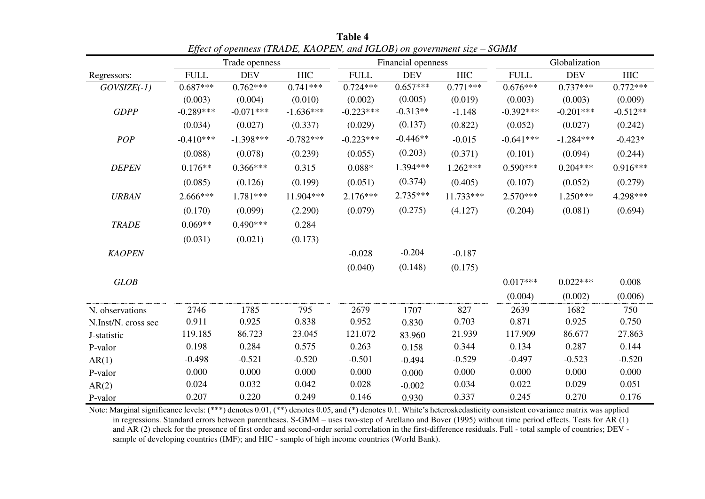|                     |             | Trade openness |             |             | Financial openness |             | Globalization |             |            |  |  |
|---------------------|-------------|----------------|-------------|-------------|--------------------|-------------|---------------|-------------|------------|--|--|
| Regressors:         | <b>FULL</b> | <b>DEV</b>     | <b>HIC</b>  | <b>FULL</b> | <b>DEV</b>         | ${\rm HIC}$ | <b>FULL</b>   | <b>DEV</b>  | <b>HIC</b> |  |  |
| $GOVSIZE(-1)$       | $0.687***$  | $0.762***$     | $0.741***$  | $0.724***$  | $0.657***$         | $0.771***$  | $0.676***$    | $0.737***$  | $0.772***$ |  |  |
|                     | (0.003)     | (0.004)        | (0.010)     | (0.002)     | (0.005)            | (0.019)     | (0.003)       | (0.003)     | (0.009)    |  |  |
| <b>GDPP</b>         | $-0.289***$ | $-0.071***$    | $-1.636***$ | $-0.223***$ | $-0.313**$         | $-1.148$    | $-0.392***$   | $-0.201***$ | $-0.512**$ |  |  |
|                     | (0.034)     | (0.027)        | (0.337)     | (0.029)     | (0.137)            | (0.822)     | (0.052)       | (0.027)     | (0.242)    |  |  |
| POP                 | $-0.410***$ | $-1.398***$    | $-0.782***$ | $-0.223***$ | $-0.446**$         | $-0.015$    | $-0.641***$   | $-1.284***$ | $-0.423*$  |  |  |
|                     | (0.088)     | (0.078)        | (0.239)     | (0.055)     | (0.203)            | (0.371)     | (0.101)       | (0.094)     | (0.244)    |  |  |
| <b>DEPEN</b>        | $0.176**$   | $0.366***$     | 0.315       | $0.088*$    | 1.394***           | $1.262***$  | $0.590***$    | $0.204***$  | $0.916***$ |  |  |
|                     | (0.085)     | (0.126)        | (0.199)     | (0.051)     | (0.374)            | (0.405)     | (0.107)       | (0.052)     | (0.279)    |  |  |
| <b>URBAN</b>        | 2.666***    | 1.781***       | 11.904***   | $2.176***$  | $2.735***$         | 11.733***   | $2.570***$    | $1.250***$  | 4.298***   |  |  |
|                     | (0.170)     | (0.099)        | (2.290)     | (0.079)     | (0.275)            | (4.127)     | (0.204)       | (0.081)     | (0.694)    |  |  |
| <b>TRADE</b>        | $0.069**$   | $0.490***$     | 0.284       |             |                    |             |               |             |            |  |  |
|                     | (0.031)     | (0.021)        | (0.173)     |             |                    |             |               |             |            |  |  |
| <b>KAOPEN</b>       |             |                |             | $-0.028$    | $-0.204$           | $-0.187$    |               |             |            |  |  |
|                     |             |                |             | (0.040)     | (0.148)            | (0.175)     |               |             |            |  |  |
| <b>GLOB</b>         |             |                |             |             |                    |             | $0.017***$    | $0.022***$  | 0.008      |  |  |
|                     |             |                |             |             |                    |             | (0.004)       | (0.002)     | (0.006)    |  |  |
| N. observations     | 2746        | 1785           | 795         | 2679        | 1707               | 827         | 2639          | 1682        | 750        |  |  |
| N.Inst/N. cross sec | 0.911       | 0.925          | 0.838       | 0.952       | 0.830              | 0.703       | 0.871         | 0.925       | 0.750      |  |  |
| J-statistic         | 119.185     | 86.723         | 23.045      | 121.072     | 83.960             | 21.939      | 117.909       | 86.677      | 27.863     |  |  |
| P-valor             | 0.198       | 0.284          | 0.575       | 0.263       | 0.158              | 0.344       | 0.134         | 0.287       | 0.144      |  |  |
| AR(1)               | $-0.498$    | $-0.521$       | $-0.520$    | $-0.501$    | $-0.494$           | $-0.529$    | $-0.497$      | $-0.523$    | $-0.520$   |  |  |
| P-valor             | 0.000       | 0.000          | 0.000       | 0.000       | 0.000              | 0.000       | 0.000         | 0.000       | 0.000      |  |  |
| AR(2)               | 0.024       | 0.032          | 0.042       | 0.028       | $-0.002$           | 0.034       | 0.022         | 0.029       | 0.051      |  |  |
| P-valor             | 0.207       | 0.220          | 0.249       | 0.146       | 0.930              | 0.337       | 0.245         | 0.270       | 0.176      |  |  |

**Table 4**  *Effect of openness (TRADE, KAOPEN, and IGLOB) on government size – SGMM* 

Note: Marginal significance levels: (\*\*\*) denotes 0.01, (\*\*) denotes 0.05, and (\*) denotes 0.1. White's heteroskedasticity consistent covariance matrix was applied in regressions. Standard errors between parentheses. S-GMM – uses two-step of Arellano and Bover (1995) without time period effects. Tests for AR (1) and AR (2) check for the presence of first order and second-order serial correlation in the first-difference residuals. Full - total sample of countries; DEV sample of developing countries (IMF); and HIC - sample of high income countries (World Bank).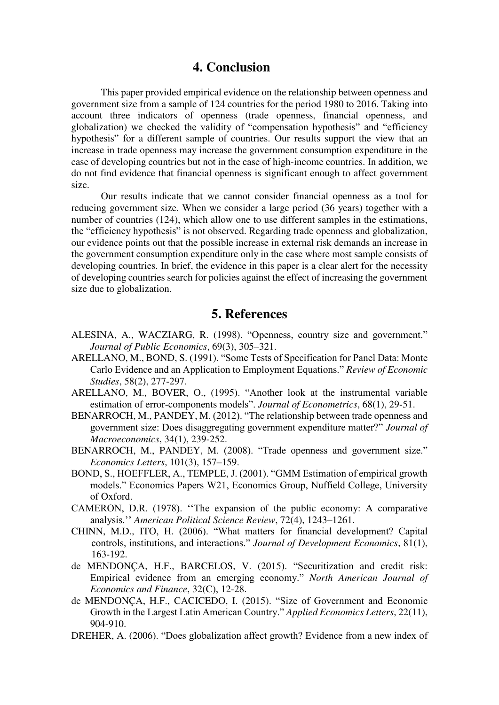### **4. Conclusion**

This paper provided empirical evidence on the relationship between openness and government size from a sample of 124 countries for the period 1980 to 2016. Taking into account three indicators of openness (trade openness, financial openness, and globalization) we checked the validity of "compensation hypothesis" and "efficiency hypothesis" for a different sample of countries. Our results support the view that an increase in trade openness may increase the government consumption expenditure in the case of developing countries but not in the case of high-income countries. In addition, we do not find evidence that financial openness is significant enough to affect government size.

Our results indicate that we cannot consider financial openness as a tool for reducing government size. When we consider a large period (36 years) together with a number of countries (124), which allow one to use different samples in the estimations, the "efficiency hypothesis" is not observed. Regarding trade openness and globalization, our evidence points out that the possible increase in external risk demands an increase in the government consumption expenditure only in the case where most sample consists of developing countries. In brief, the evidence in this paper is a clear alert for the necessity of developing countries search for policies against the effect of increasing the government size due to globalization.

## **5. References**

- ALESINA, A., WACZIARG, R. (1998). "Openness, country size and government." *Journal of Public Economics*, 69(3), 305–321.
- ARELLANO, M., BOND, S. (1991). "Some Tests of Specification for Panel Data: Monte Carlo Evidence and an Application to Employment Equations." *Review of Economic Studies*, 58(2), 277-297.
- ARELLANO, M., BOVER, O., (1995). "Another look at the instrumental variable estimation of error-components models". *Journal of Econometrics*, 68(1), 29-51.
- BENARROCH, M., PANDEY, M. (2012). "The relationship between trade openness and government size: Does disaggregating government expenditure matter?" *Journal of Macroeconomics*, 34(1), 239-252.
- BENARROCH, M., PANDEY, M. (2008). "Trade openness and government size." *Economics Letters*, 101(3), 157–159.
- BOND, S., HOEFFLER, A., TEMPLE, J. (2001). "GMM Estimation of empirical growth models." Economics Papers W21, Economics Group, Nuffield College, University of Oxford.
- CAMERON, D.R. (1978). ''The expansion of the public economy: A comparative analysis.'' *American Political Science Review*, 72(4), 1243–1261.
- CHINN, M.D., ITO, H. (2006). "What matters for financial development? Capital controls, institutions, and interactions." *Journal of Development Economics*, 81(1), 163-192.
- de MENDONÇA, H.F., BARCELOS, V. (2015). "Securitization and credit risk: Empirical evidence from an emerging economy." *North American Journal of Economics and Finance*, 32(C), 12-28.
- de MENDONÇA, H.F., CACICEDO, I. (2015). "Size of Government and Economic Growth in the Largest Latin American Country." *Applied Economics Letters*, 22(11), 904-910.
- DREHER, A. (2006). "Does globalization affect growth? Evidence from a new index of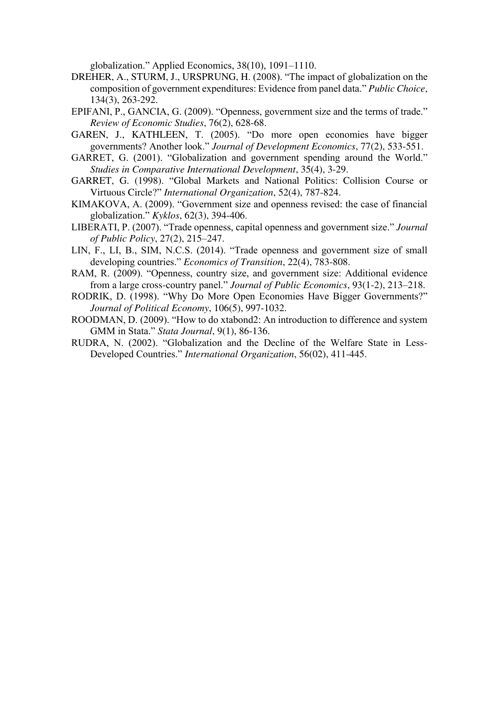globalization." Applied Economics, 38(10), 1091–1110.

- DREHER, A., STURM, J., URSPRUNG, H. (2008). "The impact of globalization on the composition of government expenditures: Evidence from panel data." *Public Choice*, 134(3), 263-292.
- EPIFANI, P., GANCIA, G. (2009). "Openness, government size and the terms of trade." *Review of Economic Studies*, 76(2), 628-68.
- GAREN, J., KATHLEEN, T. (2005). "Do more open economies have bigger governments? Another look." *Journal of Development Economics*, 77(2), 533-551.
- GARRET, G. (2001). "Globalization and government spending around the World." *Studies in Comparative International Development*, 35(4), 3-29.
- GARRET, G. (1998). "Global Markets and National Politics: Collision Course or Virtuous Circle?" *International Organization*, 52(4), 787-824.
- KIMAKOVA, A. (2009). "Government size and openness revised: the case of financial globalization." *Kyklos*, 62(3), 394-406.
- LIBERATI, P. (2007). "Trade openness, capital openness and government size." *Journal of Public Policy*, 27(2), 215–247.
- LIN, F., LI, B., SIM, N.C.S. (2014). "Trade openness and government size of small developing countries." *Economics of Transition*, 22(4), 783-808.
- RAM, R. (2009). "Openness, country size, and government size: Additional evidence from a large cross-country panel." *Journal of Public Economics*, 93(1-2), 213–218.
- RODRIK, D. (1998). "Why Do More Open Economies Have Bigger Governments?" *Journal of Political Economy*, 106(5), 997-1032.
- ROODMAN, D. (2009). "How to do xtabond2: An introduction to difference and system GMM in Stata." *Stata Journal*, 9(1), 86-136.
- RUDRA, N. (2002). "Globalization and the Decline of the Welfare State in Less-Developed Countries." *International Organization*, 56(02), 411-445.